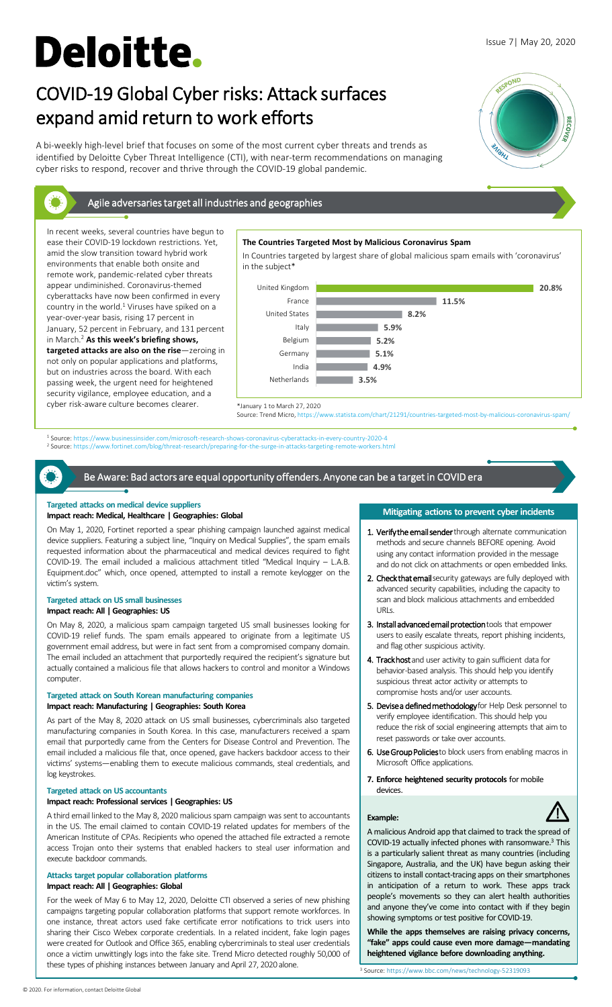# **Deloitte.**

In recent weeks, several countries have begun to ease their COVID-19 lockdown restrictions. Yet, amid the slow transition toward hybrid work environments that enable both onsite and remote work, pandemic-related cyber threats appear undiminished. Coronavirus-themed cyberattacks have now been confirmed in every country in the world.<sup>1</sup> Viruses have spiked on a year-over-year basis, rising 17 percent in January, 52 percent in February, and 131 percent in March.2 **As this week's briefing shows, targeted attacks are also on the rise**—zeroing in not only on popular applications and platforms, but on industries across the board. With each passing week, the urgent need for heightened security vigilance, employee education, and a cyber risk-aware culture becomes clearer.

# Issue 7| May 20, 2020

# COVID-19 Global Cyber risks: Attack surfaces expand amid return to work efforts

A bi-weekly high-level brief that focuses on some of the most current cyber threats and trends as identified by Deloitte Cyber Threat Intelligence (CTI), with near-term recommendations on managing cyber risks to respond, recover and thrive through the COVID-19 global pandemic.



# Agile adversaries target all industries and geographies

**The Countries Targeted Most by Malicious Coronavirus Spam**

In Countries targeted by largest share of global malicious spam emails with 'coronavirus' in the subject\*



statista.com/chart/21291/countries-targeted-most-by-malicious-coronavirus-spa

<sup>1</sup> Source: https://www.businessinsider.com/microsoft-research-shows-coronavirus-cyberattacks-in-every-country-2020-4<br><sup>2</sup> Source: https://www.fortinet.com/blog/threat-research/preparing-for-the-surge-in-attacks-targeting-r

Be Aware: Bad actors are equal opportunity offenders. Anyone can be a target in COVID era

## **Targeted attacks on medical device suppliers**

#### **Impact reach: Medical, Healthcare | Geographies: Global**

On May 1, 2020, Fortinet reported a spear phishing campaign launched against medical device suppliers. Featuring a subject line, "Inquiry on Medical Supplies", the spam emails requested information about the pharmaceutical and medical devices required to fight COVID-19. The email included a malicious attachment titled "Medical Inquiry – L.A.B. Equipment.doc" which, once opened, attempted to install a remote keylogger on the victim's system.

#### **Targeted attack on US small businesses**

# **Impact reach: All | Geographies: US**

On May 8, 2020, a malicious spam campaign targeted US small businesses looking for COVID-19 relief funds. The spam emails appeared to originate from a legitimate US government email address, but were in fact sent from a compromised company domain. The email included an attachment that purportedly required the recipient's signature but actually contained a malicious file that allows hackers to control and monitor a Windows computer.

## **Targeted attack on South Korean manufacturing companies Impact reach: Manufacturing | Geographies: South Korea**

As part of the May 8, 2020 attack on US small businesses, cybercriminals also targeted manufacturing companies in South Korea. In this case, manufacturers received a spam email that purportedly came from the Centers for Disease Control and Prevention. The email included a malicious file that, once opened, gave hackers backdoor access to their victims' systems—enabling them to execute malicious commands, steal credentials, and log keystrokes.

#### **Targeted attack on US accountants**

# **Impact reach: Professional services | Geographies: US**

A third email linked to the May 8, 2020 malicious spam campaign was sent to accountants in the US. The email claimed to contain COVID-19 related updates for members of the American Institute of CPAs. Recipients who opened the attached file extracted a remote access Trojan onto their systems that enabled hackers to steal user information and execute backdoor commands.

# **Attacks target popular collaboration platforms**

#### **Impact reach: All | Geographies: Global**

For the week of May 6 to May 12, 2020, Deloitte CTI observed a series of new phishing campaigns targeting popular collaboration platforms that support remote workforces. In one instance, threat actors used fake certificate error notifications to trick users into sharing their Cisco Webex corporate credentials. In a related incident, fake login pages were created for Outlook and Office 365, enabling cybercriminals to steal user credentials once a victim unwittingly logs into the fake site. Trend Micro detected roughly 50,000 of these types of phishing instances between January and April 27, 2020 alone.

## **Mitigating actions to prevent cyber incidents**

- 1. Verify the email sender through alternate communication methods and secure channels BEFORE opening. Avoid using any contact information provided in the message and do not click on attachments or open embedded links.
- 2. Check that email security gateways are fully deployed with advanced security capabilities, including the capacity to scan and block malicious attachments and embedded URLs.
- 3. Install advanced email protection tools that empower users to easily escalate threats, report phishing incidents, and flag other suspicious activity.
- 4. Track host and user activity to gain sufficient data for behavior-based analysis. This should help you identify suspicious threat actor activity or attempts to compromise hosts and/or user accounts.
- 5. Devise a defined methodology for Help Desk personnel to verify employee identification. This should help you reduce the risk of social engineering attempts that aim to reset passwords or take over accounts.
- 6. Use Group Policies to block users from enabling macros in Microsoft Office applications.
- **7. Enforce heightened security protocols** for mobile devices.

# **Example:**



A malicious Android app that claimed to track the spread of COVID-19 actually infected phones with ransomware. <sup>3</sup> This is a particularly salient threat as many countries (including Singapore, Australia, and the UK) have begun asking their citizens to install contact-tracing apps on their smartphones in anticipation of a return to work. These apps track people's movements so they can alert health authorities and anyone they've come into contact with if they begin showing symptoms or test positive for COVID-19.

**While the apps themselves are raising privacy concerns, "fake" apps could cause even more damage—mandating heightened vigilance before downloading anything.**

<sup>3</sup> Source: https://www.bbc.com/news/technology-52319093